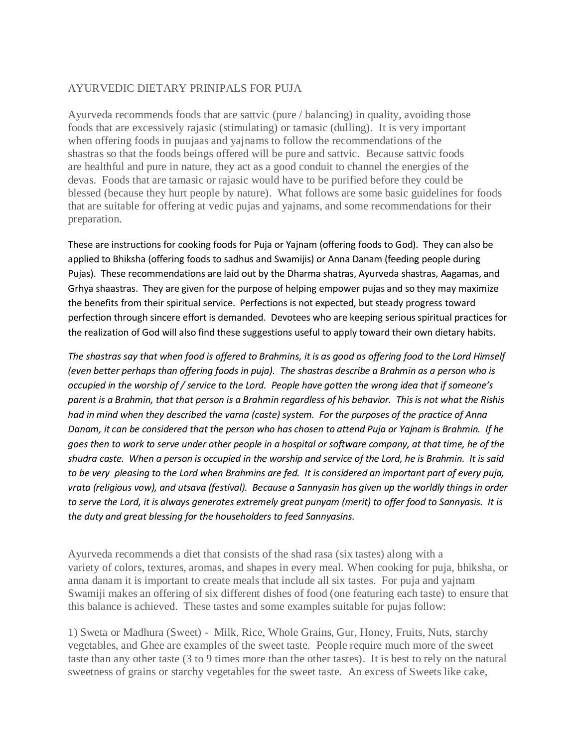# AYURVEDIC DIETARY PRINIPALS FOR PUJA

Ayurveda recommends foods that are sattvic (pure / balancing) in quality, avoiding those foods that are excessively rajasic (stimulating) or tamasic (dulling). It is very important when offering foods in puujaas and yajnams to follow the recommendations of the shastras so that the foods beings offered will be pure and sattvic. Because sattvic foods are healthful and pure in nature, they act as a good conduit to channel the energies of the devas. Foods that are tamasic or rajasic would have to be purified before they could be blessed (because they hurt people by nature). What follows are some basic guidelines for foods that are suitable for offering at vedic pujas and yajnams, and some recommendations for their preparation.

These are instructions for cooking foods for Puja or Yajnam (offering foods to God). They can also be applied to Bhiksha (offering foods to sadhus and Swamijis) or Anna Danam (feeding people during Pujas). These recommendations are laid out by the Dharma shatras, Ayurveda shastras, Aagamas, and Grhya shaastras. They are given for the purpose of helping empower pujas and so they may maximize the benefits from their spiritual service. Perfections is not expected, but steady progress toward perfection through sincere effort is demanded. Devotees who are keeping serious spiritual practices for the realization of God will also find these suggestions useful to apply toward their own dietary habits.

*The shastras say that when food is offered to Brahmins, it is as good as offering food to the Lord Himself (even better perhaps than offering foods in puja). The shastras describe a Brahmin as a person who is occupied in the worship of / service to the Lord. People have gotten the wrong idea that if someone's parent is a Brahmin, that that person is a Brahmin regardless of his behavior. This is not what the Rishis had in mind when they described the varna (caste) system. For the purposes of the practice of Anna Danam, it can be considered that the person who has chosen to attend Puja or Yajnam is Brahmin. If he goes then to work to serve under other people in a hospital or software company, at that time, he of the shudra caste. When a person is occupied in the worship and service of the Lord, he is Brahmin. It is said to be very pleasing to the Lord when Brahmins are fed. It is considered an important part of every puja, vrata (religious vow), and utsava (festival). Because a Sannyasin has given up the worldly things in order to serve the Lord, it is always generates extremely great punyam (merit) to offer food to Sannyasis. It is the duty and great blessing for the householders to feed Sannyasins.*

Ayurveda recommends a diet that consists of the shad rasa (six tastes) along with a variety of colors, textures, aromas, and shapes in every meal. When cooking for puja, bhiksha, or anna danam it is important to create meals that include all six tastes. For puja and yajnam Swamiji makes an offering of six different dishes of food (one featuring each taste) to ensure that this balance is achieved. These tastes and some examples suitable for pujas follow:

1) Sweta or Madhura (Sweet) - Milk, Rice, Whole Grains, Gur, Honey, Fruits, Nuts, starchy vegetables, and Ghee are examples of the sweet taste. People require much more of the sweet taste than any other taste (3 to 9 times more than the other tastes). It is best to rely on the natural sweetness of grains or starchy vegetables for the sweet taste. An excess of Sweets like cake,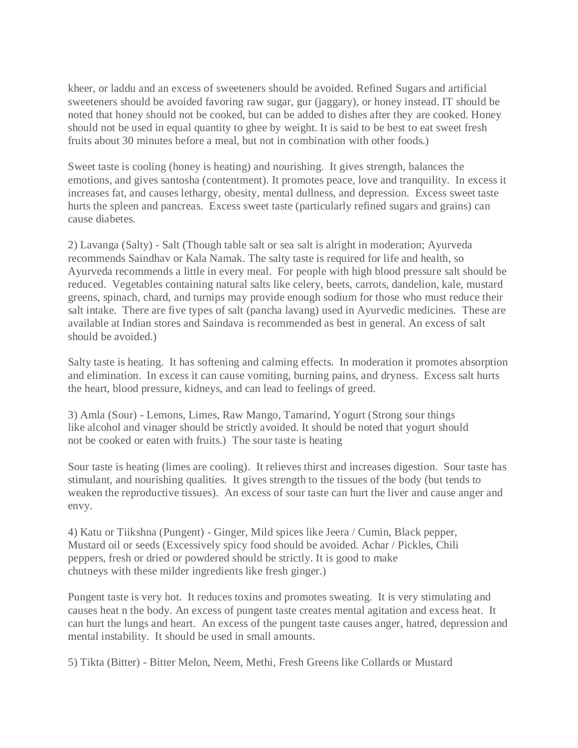kheer, or laddu and an excess of sweeteners should be avoided. Refined Sugars and artificial sweeteners should be avoided favoring raw sugar, gur (jaggary), or honey instead. IT should be noted that honey should not be cooked, but can be added to dishes after they are cooked. Honey should not be used in equal quantity to ghee by weight. It is said to be best to eat sweet fresh fruits about 30 minutes before a meal, but not in combination with other foods.)

Sweet taste is cooling (honey is heating) and nourishing. It gives strength, balances the emotions, and gives santosha (contentment). It promotes peace, love and tranquility. In excess it increases fat, and causes lethargy, obesity, mental dullness, and depression. Excess sweet taste hurts the spleen and pancreas. Excess sweet taste (particularly refined sugars and grains) can cause diabetes.

2) Lavanga (Salty) - Salt (Though table salt or sea salt is alright in moderation; Ayurveda recommends Saindhav or Kala Namak. The salty taste is required for life and health, so Ayurveda recommends a little in every meal. For people with high blood pressure salt should be reduced. Vegetables containing natural salts like celery, beets, carrots, dandelion, kale, mustard greens, spinach, chard, and turnips may provide enough sodium for those who must reduce their salt intake. There are five types of salt (pancha lavang) used in Ayurvedic medicines. These are available at Indian stores and Saindava is recommended as best in general. An excess of salt should be avoided.)

Salty taste is heating. It has softening and calming effects. In moderation it promotes absorption and elimination. In excess it can cause vomiting, burning pains, and dryness. Excess salt hurts the heart, blood pressure, kidneys, and can lead to feelings of greed.

3) Amla (Sour) - Lemons, Limes, Raw Mango, Tamarind, Yogurt (Strong sour things like alcohol and vinager should be strictly avoided. It should be noted that yogurt should not be cooked or eaten with fruits.) The sour taste is heating

Sour taste is heating (limes are cooling). It relieves thirst and increases digestion. Sour taste has stimulant, and nourishing qualities. It gives strength to the tissues of the body (but tends to weaken the reproductive tissues). An excess of sour taste can hurt the liver and cause anger and envy.

4) Katu or Tiikshna (Pungent) - Ginger, Mild spices like Jeera / Cumin, Black pepper, Mustard oil or seeds (Excessively spicy food should be avoided. Achar / Pickles, Chili peppers, fresh or dried or powdered should be strictly. It is good to make chutneys with these milder ingredients like fresh ginger.)

Pungent taste is very hot. It reduces toxins and promotes sweating. It is very stimulating and causes heat n the body. An excess of pungent taste creates mental agitation and excess heat. It can hurt the lungs and heart. An excess of the pungent taste causes anger, hatred, depression and mental instability. It should be used in small amounts.

5) Tikta (Bitter) - Bitter Melon, Neem, Methi, Fresh Greens like Collards or Mustard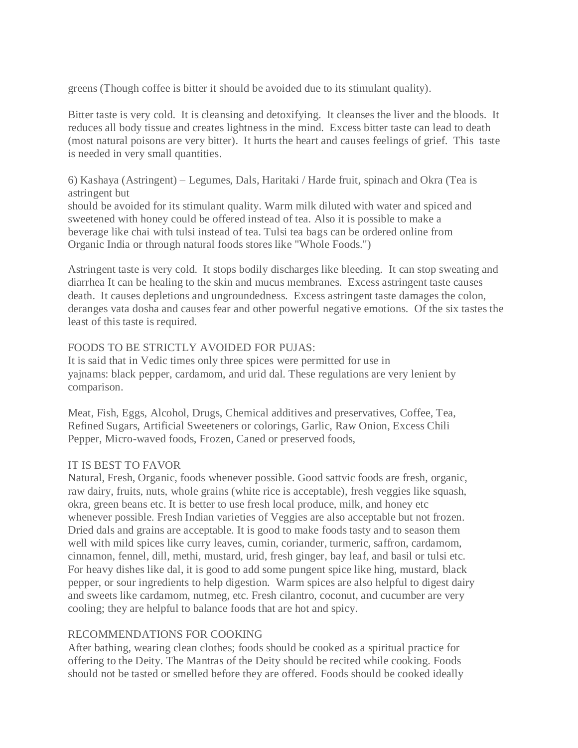greens (Though coffee is bitter it should be avoided due to its stimulant quality).

Bitter taste is very cold. It is cleansing and detoxifying. It cleanses the liver and the bloods. It reduces all body tissue and creates lightness in the mind. Excess bitter taste can lead to death (most natural poisons are very bitter). It hurts the heart and causes feelings of grief. This taste is needed in very small quantities.

6) Kashaya (Astringent) – Legumes, Dals, Haritaki / Harde fruit, spinach and Okra (Tea is astringent but

should be avoided for its stimulant quality. Warm milk diluted with water and spiced and sweetened with honey could be offered instead of tea. Also it is possible to make a beverage like chai with tulsi instead of tea. Tulsi tea bags can be ordered online from Organic India or through natural foods stores like "Whole Foods.")

Astringent taste is very cold. It stops bodily discharges like bleeding. It can stop sweating and diarrhea It can be healing to the skin and mucus membranes. Excess astringent taste causes death. It causes depletions and ungroundedness. Excess astringent taste damages the colon, deranges vata dosha and causes fear and other powerful negative emotions. Of the six tastes the least of this taste is required.

### FOODS TO BE STRICTLY AVOIDED FOR PUJAS:

It is said that in Vedic times only three spices were permitted for use in yajnams: black pepper, cardamom, and urid dal. These regulations are very lenient by comparison.

Meat, Fish, Eggs, Alcohol, Drugs, Chemical additives and preservatives, Coffee, Tea, Refined Sugars, Artificial Sweeteners or colorings, Garlic, Raw Onion, Excess Chili Pepper, Micro-waved foods, Frozen, Caned or preserved foods,

### IT IS BEST TO FAVOR

Natural, Fresh, Organic, foods whenever possible. Good sattvic foods are fresh, organic, raw dairy, fruits, nuts, whole grains (white rice is acceptable), fresh veggies like squash, okra, green beans etc. It is better to use fresh local produce, milk, and honey etc whenever possible. Fresh Indian varieties of Veggies are also acceptable but not frozen. Dried dals and grains are acceptable. It is good to make foods tasty and to season them well with mild spices like curry leaves, cumin, coriander, turmeric, saffron, cardamom, cinnamon, fennel, dill, methi, mustard, urid, fresh ginger, bay leaf, and basil or tulsi etc. For heavy dishes like dal, it is good to add some pungent spice like hing, mustard, black pepper, or sour ingredients to help digestion. Warm spices are also helpful to digest dairy and sweets like cardamom, nutmeg, etc. Fresh cilantro, coconut, and cucumber are very cooling; they are helpful to balance foods that are hot and spicy.

# RECOMMENDATIONS FOR COOKING

After bathing, wearing clean clothes; foods should be cooked as a spiritual practice for offering to the Deity. The Mantras of the Deity should be recited while cooking. Foods should not be tasted or smelled before they are offered. Foods should be cooked ideally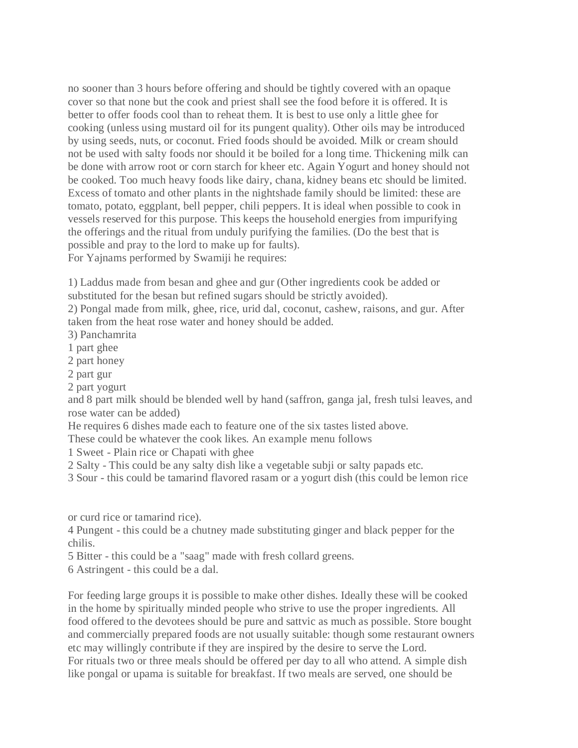no sooner than 3 hours before offering and should be tightly covered with an opaque cover so that none but the cook and priest shall see the food before it is offered. It is better to offer foods cool than to reheat them. It is best to use only a little ghee for cooking (unless using mustard oil for its pungent quality). Other oils may be introduced by using seeds, nuts, or coconut. Fried foods should be avoided. Milk or cream should not be used with salty foods nor should it be boiled for a long time. Thickening milk can be done with arrow root or corn starch for kheer etc. Again Yogurt and honey should not be cooked. Too much heavy foods like dairy, chana, kidney beans etc should be limited. Excess of tomato and other plants in the nightshade family should be limited: these are tomato, potato, eggplant, bell pepper, chili peppers. It is ideal when possible to cook in vessels reserved for this purpose. This keeps the household energies from impurifying the offerings and the ritual from unduly purifying the families. (Do the best that is possible and pray to the lord to make up for faults). For Yajnams performed by Swamiji he requires:

1) Laddus made from besan and ghee and gur (Other ingredients cook be added or substituted for the besan but refined sugars should be strictly avoided).

2) Pongal made from milk, ghee, rice, urid dal, coconut, cashew, raisons, and gur. After taken from the heat rose water and honey should be added.

- 3) Panchamrita
- 1 part ghee
- 2 part honey
- 2 part gur
- 2 part yogurt

and 8 part milk should be blended well by hand (saffron, ganga jal, fresh tulsi leaves, and rose water can be added)

He requires 6 dishes made each to feature one of the six tastes listed above.

- These could be whatever the cook likes. An example menu follows
- 1 Sweet Plain rice or Chapati with ghee
- 2 Salty This could be any salty dish like a vegetable subji or salty papads etc.
- 3 Sour this could be tamarind flavored rasam or a yogurt dish (this could be lemon rice

or curd rice or tamarind rice).

4 Pungent - this could be a chutney made substituting ginger and black pepper for the chilis.

5 Bitter - this could be a "saag" made with fresh collard greens.

6 Astringent - this could be a dal.

For feeding large groups it is possible to make other dishes. Ideally these will be cooked in the home by spiritually minded people who strive to use the proper ingredients. All food offered to the devotees should be pure and sattvic as much as possible. Store bought and commercially prepared foods are not usually suitable: though some restaurant owners etc may willingly contribute if they are inspired by the desire to serve the Lord. For rituals two or three meals should be offered per day to all who attend. A simple dish like pongal or upama is suitable for breakfast. If two meals are served, one should be